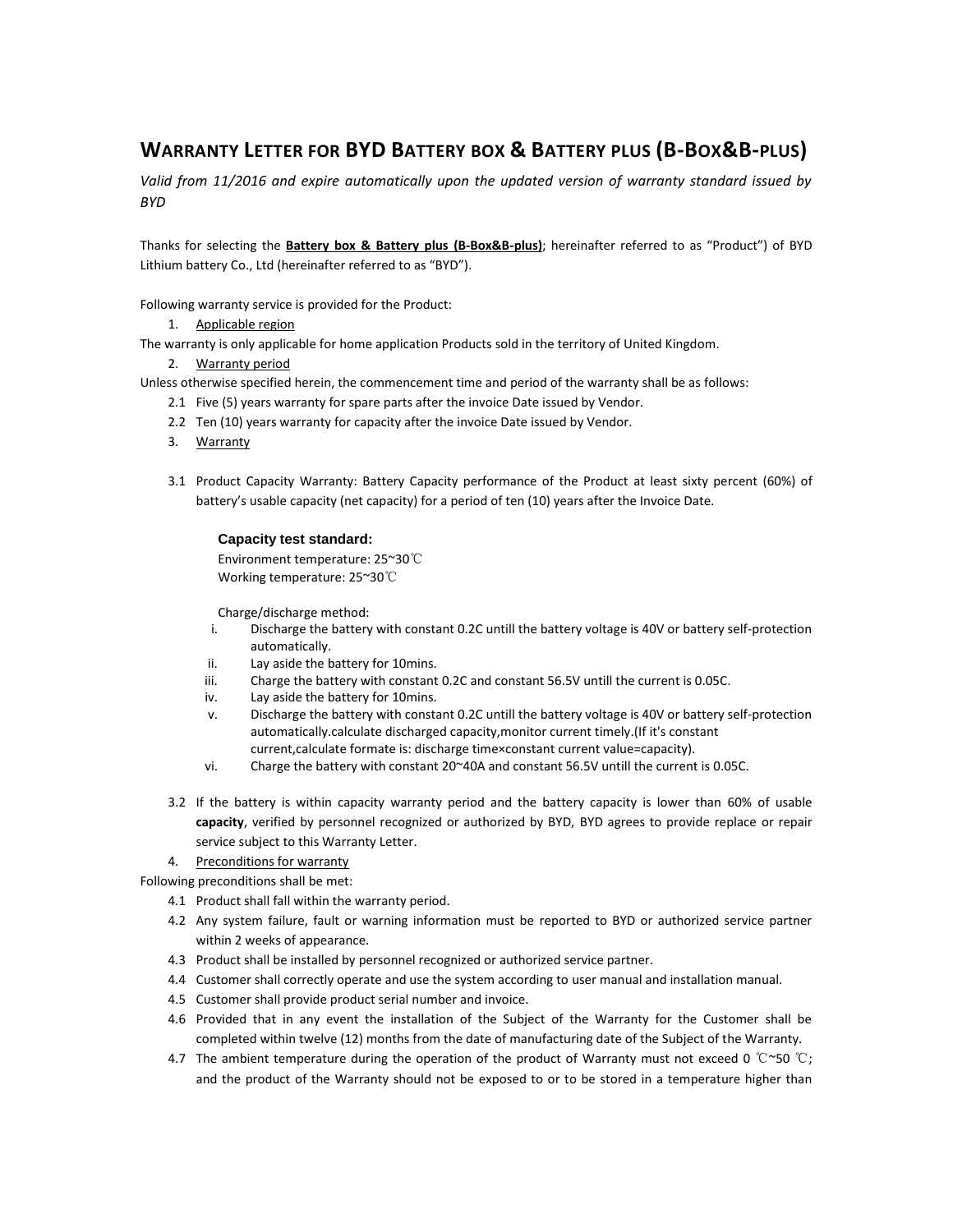# **WARRANTY LETTER FOR BYD BATTERY BOX & BATTERY PLUS (B-BOX&B-PLUS)**

*Valid from 11/2016 and expire automatically upon the updated version of warranty standard issued by BYD*

Thanks for selecting the **Battery box & Battery plus (B-Box&B-plus)**; hereinafter referred to as "Product") of BYD Lithium battery Co., Ltd (hereinafter referred to as "BYD").

Following warranty service is provided for the Product:

1. Applicable region

The warranty is only applicable for home application Products sold in the territory of United Kingdom.

2. Warranty period

Unless otherwise specified herein, the commencement time and period of the warranty shall be as follows:

- 2.1 Five (5) years warranty for spare parts after the invoice Date issued by Vendor.
- 2.2 Ten (10) years warranty for capacity after the invoice Date issued by Vendor.
- 3. Warranty
- 3.1 Product Capacity Warranty: Battery Capacity performance of the Product at least sixty percent (60%) of battery's usable capacity (net capacity) for a period of ten (10) years after the Invoice Date.

# **Capacity test standard:**

Environment temperature: 25~30℃ Working temperature: 25~30℃

Charge/discharge method:

- i. Discharge the battery with constant 0.2C untill the battery voltage is 40V or battery self-protection automatically.
- ii. Lay aside the battery for 10mins.
- iii. Charge the battery with constant 0.2C and constant 56.5V untill the current is 0.05C.
- iv. Lay aside the battery for 10mins.
- v. Discharge the battery with constant 0.2C untill the battery voltage is 40V or battery self-protection automatically.calculate discharged capacity,monitor current timely.(If it's constant current,calculate formate is: discharge time×constant current value=capacity).
- vi. Charge the battery with constant 20~40A and constant 56.5V untill the current is 0.05C.
- 3.2 If the battery is within capacity warranty period and the battery capacity is lower than 60% of usable **capacity**, verified by personnel recognized or authorized by BYD, BYD agrees to provide replace or repair service subject to this Warranty Letter.

# 4. Preconditions for warranty

Following preconditions shall be met:

- 4.1 Product shall fall within the warranty period.
- 4.2 Any system failure, fault or warning information must be reported to BYD or authorized service partner within 2 weeks of appearance.
- 4.3 Product shall be installed by personnel recognized or authorized service partner.
- 4.4 Customer shall correctly operate and use the system according to user manual and installation manual.
- 4.5 Customer shall provide product serial number and invoice.
- 4.6 Provided that in any event the installation of the Subject of the Warranty for the Customer shall be completed within twelve (12) months from the date of manufacturing date of the Subject of the Warranty.
- 4.7 The ambient temperature during the operation of the product of Warranty must not exceed 0 ℃~50 ℃; and the product of the Warranty should not be exposed to or to be stored in a temperature higher than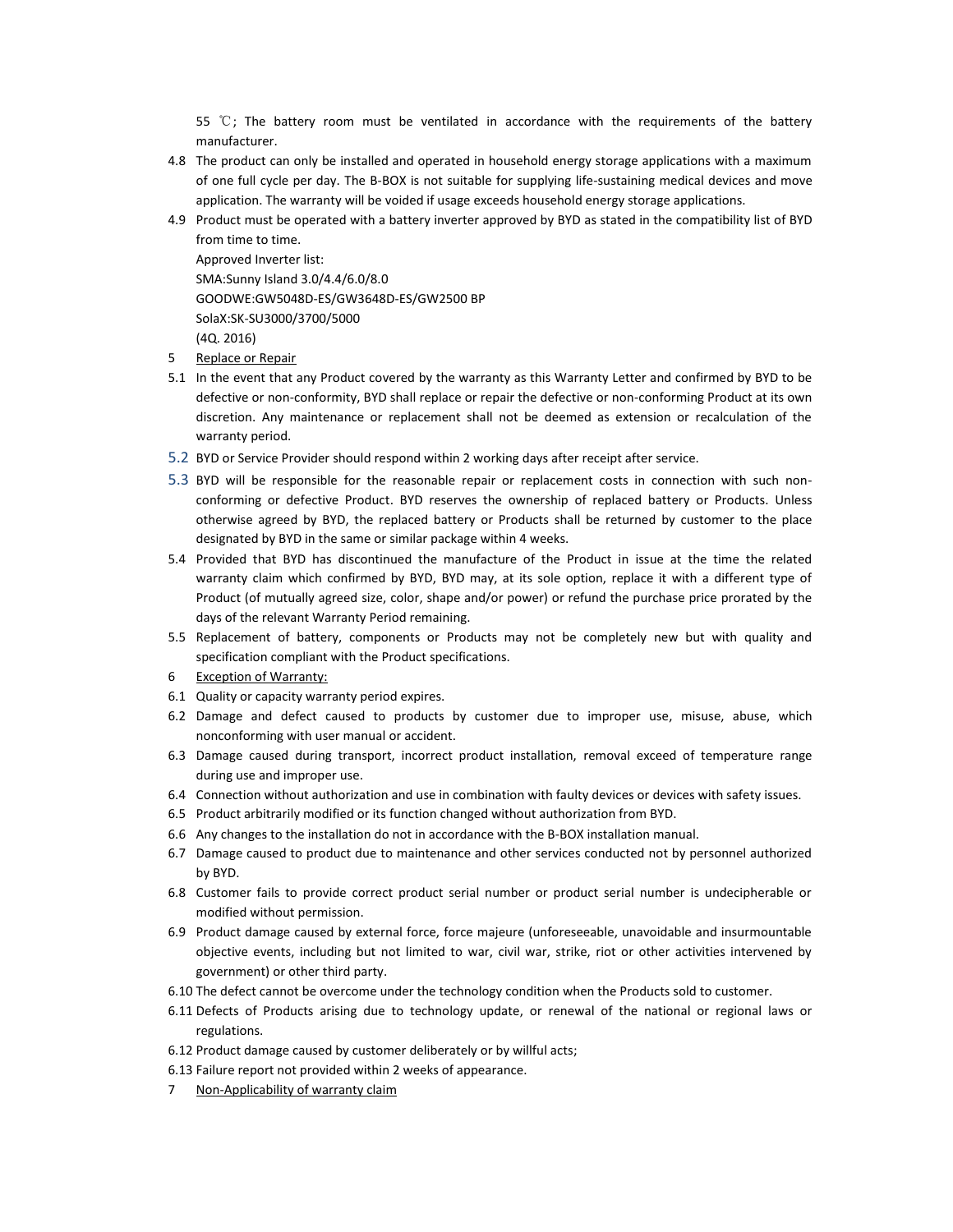55  $°C$ ; The battery room must be ventilated in accordance with the requirements of the battery manufacturer.

- 4.8 The product can only be installed and operated in household energy storage applications with a maximum of one full cycle per day. The B-BOX is not suitable for supplying life-sustaining medical devices and move application. The warranty will be voided if usage exceeds household energy storage applications.
- 4.9 Product must be operated with a battery inverter approved by BYD as stated in the compatibility list of BYD from time to time.

Approved Inverter list: SMA:Sunny Island 3.0/4.4/6.0/8.0 GOODWE:GW5048D-ES/GW3648D-ES/GW2500 BP SolaX:SK-SU3000/3700/5000 (4Q. 2016)

- 5 Replace or Repair
- 5.1 In the event that any Product covered by the warranty as this Warranty Letter and confirmed by BYD to be defective or non-conformity, BYD shall replace or repair the defective or non-conforming Product at its own discretion. Any maintenance or replacement shall not be deemed as extension or recalculation of the warranty period.
- 5.2 BYD or Service Provider should respond within 2 working days after receipt after service.
- 5.3 BYD will be responsible for the reasonable repair or replacement costs in connection with such nonconforming or defective Product. BYD reserves the ownership of replaced battery or Products. Unless otherwise agreed by BYD, the replaced battery or Products shall be returned by customer to the place designated by BYD in the same or similar package within 4 weeks.
- 5.4 Provided that BYD has discontinued the manufacture of the Product in issue at the time the related warranty claim which confirmed by BYD, BYD may, at its sole option, replace it with a different type of Product (of mutually agreed size, color, shape and/or power) or refund the purchase price prorated by the days of the relevant Warranty Period remaining.
- 5.5 Replacement of battery, components or Products may not be completely new but with quality and specification compliant with the Product specifications.
- 6 Exception of Warranty:
- 6.1 Quality or capacity warranty period expires.
- 6.2 Damage and defect caused to products by customer due to improper use, misuse, abuse, which nonconforming with user manual or accident.
- 6.3 Damage caused during transport, incorrect product installation, removal exceed of temperature range during use and improper use.
- 6.4 Connection without authorization and use in combination with faulty devices or devices with safety issues.
- 6.5 Product arbitrarily modified or its function changed without authorization from BYD.
- 6.6 Any changes to the installation do not in accordance with the B-BOX installation manual.
- 6.7 Damage caused to product due to maintenance and other services conducted not by personnel authorized by BYD.
- 6.8 Customer fails to provide correct product serial number or product serial number is undecipherable or modified without permission.
- 6.9 Product damage caused by external force, force majeure (unforeseeable, unavoidable and insurmountable objective events, including but not limited to war, civil war, strike, riot or other activities intervened by government) or other third party.
- 6.10 The defect cannot be overcome under the technology condition when the Products sold to customer.
- 6.11 Defects of Products arising due to technology update, or renewal of the national or regional laws or regulations.
- 6.12 Product damage caused by customer deliberately or by willful acts;
- 6.13 Failure report not provided within 2 weeks of appearance.
- 7 Non-Applicability of warranty claim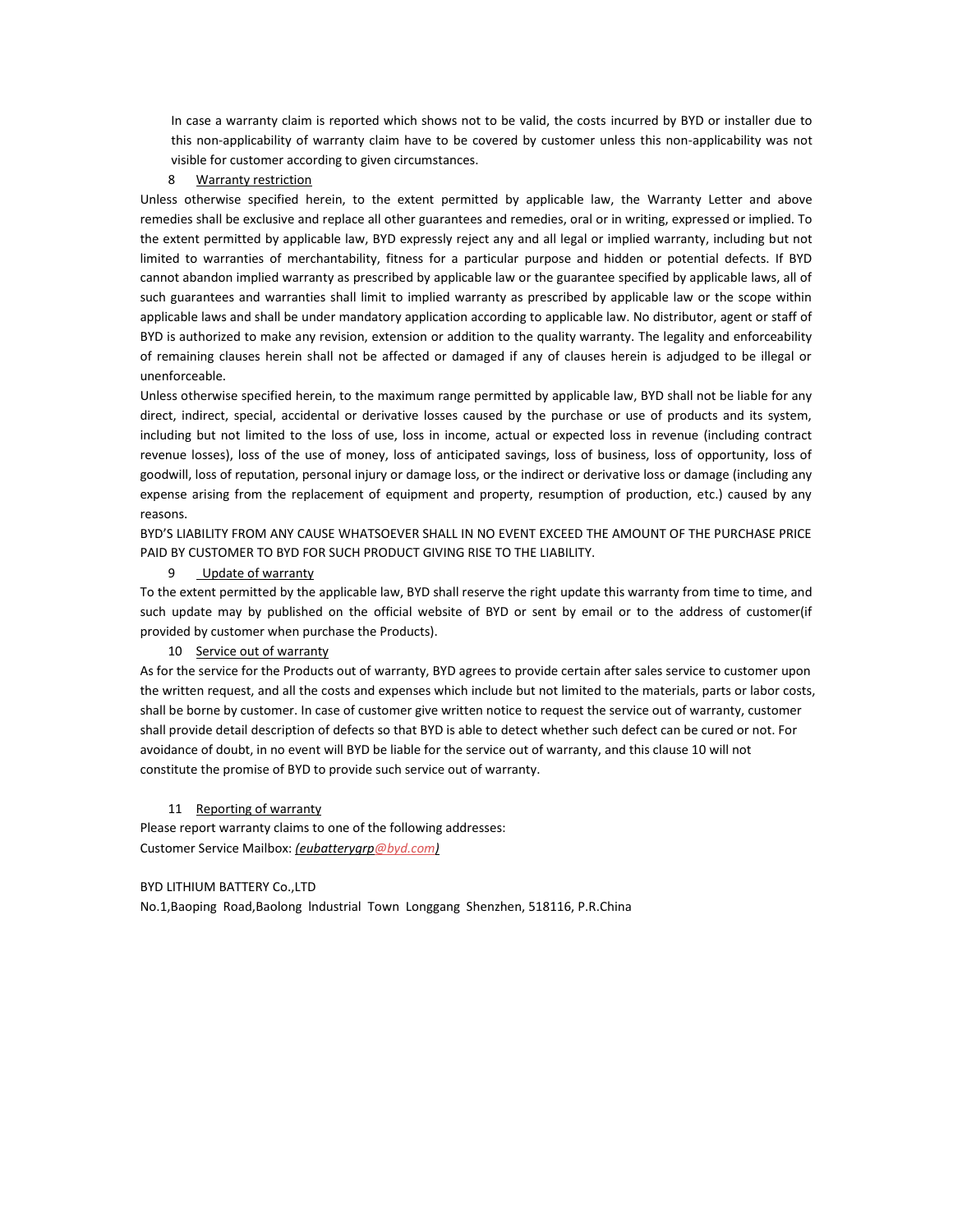In case a warranty claim is reported which shows not to be valid, the costs incurred by BYD or installer due to this non-applicability of warranty claim have to be covered by customer unless this non-applicability was not visible for customer according to given circumstances.

## 8 Warranty restriction

Unless otherwise specified herein, to the extent permitted by applicable law, the Warranty Letter and above remedies shall be exclusive and replace all other guarantees and remedies, oral or in writing, expressed or implied. To the extent permitted by applicable law, BYD expressly reject any and all legal or implied warranty, including but not limited to warranties of merchantability, fitness for a particular purpose and hidden or potential defects. If BYD cannot abandon implied warranty as prescribed by applicable law or the guarantee specified by applicable laws, all of such guarantees and warranties shall limit to implied warranty as prescribed by applicable law or the scope within applicable laws and shall be under mandatory application according to applicable law. No distributor, agent or staff of BYD is authorized to make any revision, extension or addition to the quality warranty. The legality and enforceability of remaining clauses herein shall not be affected or damaged if any of clauses herein is adjudged to be illegal or unenforceable.

Unless otherwise specified herein, to the maximum range permitted by applicable law, BYD shall not be liable for any direct, indirect, special, accidental or derivative losses caused by the purchase or use of products and its system, including but not limited to the loss of use, loss in income, actual or expected loss in revenue (including contract revenue losses), loss of the use of money, loss of anticipated savings, loss of business, loss of opportunity, loss of goodwill, loss of reputation, personal injury or damage loss, or the indirect or derivative loss or damage (including any expense arising from the replacement of equipment and property, resumption of production, etc.) caused by any reasons.

BYD'S LIABILITY FROM ANY CAUSE WHATSOEVER SHALL IN NO EVENT EXCEED THE AMOUNT OF THE PURCHASE PRICE PAID BY CUSTOMER TO BYD FOR SUCH PRODUCT GIVING RISE TO THE LIABILITY.

# 9 Update of warranty

To the extent permitted by the applicable law, BYD shall reserve the right update this warranty from time to time, and such update may by published on the official website of BYD or sent by email or to the address of customer(if provided by customer when purchase the Products).

# 10 Service out of warranty

As for the service for the Products out of warranty, BYD agrees to provide certain after sales service to customer upon the written request, and all the costs and expenses which include but not limited to the materials, parts or labor costs, shall be borne by customer. In case of customer give written notice to request the service out of warranty, customer shall provide detail description of defects so that BYD is able to detect whether such defect can be cured or not. For avoidance of doubt, in no event will BYD be liable for the service out of warranty, and this clause 10 will not constitute the promise of BYD to provide such service out of warranty.

#### 11 Reporting of warranty

Please report warranty claims to one of the following addresses: Customer Service Mailbox: *(eubatterygr[p@byd.com\)](mailto:CS.LEDlighting@byd.com)*

#### BYD LITHIUM BATTERY Co.,LTD

No.1,Baoping Road,Baolong lndustrial Town Longgang Shenzhen, 518116, P.R.China